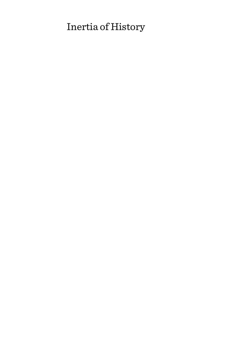# Inertia of History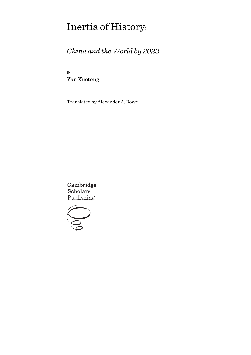# Inertia of History:

# *China and the World by 2023*

By Yan Xuetong

Translated by Alexander A. Bowe

Cambridge **Scholars** Publishing

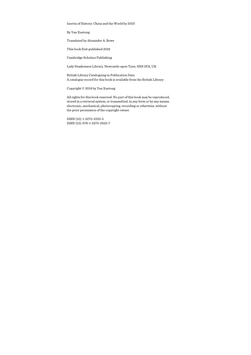#### Inertia of History: China and the World by 2023

By Yan Xuetong

Translated by Alexander A. Bowe

This book first published 2019

Cambridge Scholars Publishing

Lady Stephenson Library, Newcastle upon Tyne, NE6 2PA, UK

British Library Cataloguing in Publication Data A catalogue record for this book is available from the British Library

Copyright © 2019 by Yan Xuetong

All rights for this book reserved. No part of this book may be reproduced, stored in a retrieval system, or transmitted, in any form or by any means, electronic, mechanical, photocopying, recording or otherwise, without the prior permission of the copyright owner.

ISBN (10): 1-5275-3325-5 ISBN (13): 978-1-5275-3325-7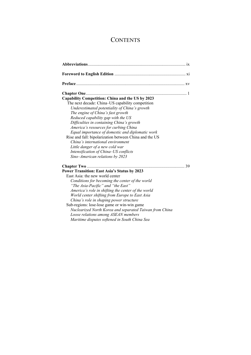## **CONTENTS**

| Capability Competition: China and the US by 2023<br>The next decade: China–US capability competition<br>Underestimated potentiality of China's growth<br>The engine of China's fast growth<br>Reduced capability gap with the US<br>Difficulties in containing China's growth<br>America's resources for curbing China<br>Equal importance of domestic and diplomatic work<br>Rise and fall: bipolarization between China and the US<br>China's international environment<br>Little danger of a new cold war<br>Intensification of China-US conflicts<br>Sino-American relations by 2023 |    |
|------------------------------------------------------------------------------------------------------------------------------------------------------------------------------------------------------------------------------------------------------------------------------------------------------------------------------------------------------------------------------------------------------------------------------------------------------------------------------------------------------------------------------------------------------------------------------------------|----|
| Chapter Two<br><b>Power Transition: East Asia's Status by 2023</b><br>East Asia: the new world center<br>Conditions for becoming the center of the world<br>"The Asia-Pacific" and "the East"<br>America's role in shifting the center of the world<br>World center shifting from Europe to East Asia<br>China's role in shaping power structure<br>Sub-regions: lose-lose game or win-win game<br>Nuclearized North Korea and separated Taiwan from China<br>Loose relations among ASEAN members<br>Maritime disputes softened in South China Sea                                       | 39 |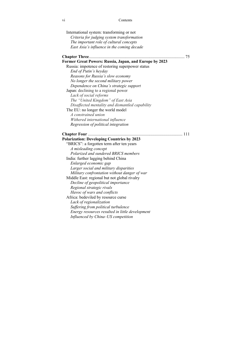### vi Contents

| International system: transforming or not              |  |
|--------------------------------------------------------|--|
| Criteria for judging system transformation             |  |
| The important role of cultural concepts                |  |
| East Asia's influence in the coming decade             |  |
|                                                        |  |
| Former Great Powers: Russia, Japan, and Europe by 2023 |  |
| Russia: impotence of restoring superpower status       |  |
| End of Putin's heyday                                  |  |
| Reasons for Russia's slow economy                      |  |
| No longer the second military power                    |  |
| Dependence on China's strategic support                |  |
| Japan: declining to a regional power                   |  |
| Lack of social reforms                                 |  |
| The "United Kingdom" of East Asia                      |  |
| Disaffected mentality and dismantled capability        |  |
| The EU: no longer the world model                      |  |
| A constrained union                                    |  |
| Withered international influence                       |  |
| Regression of political integration                    |  |
| 111                                                    |  |
| <b>Polarization: Developing Countries by 2023</b>      |  |
| "BRICS": a forgotten term after ten years              |  |
| A misleading concept                                   |  |
| Polarized and sundered BRICS members                   |  |
| India: further lagging behind China                    |  |
| Enlarged economic gap                                  |  |
| Larger social and military disparities                 |  |
| Military confrontation without danger of war           |  |
| Middle East: regional but not global rivalry           |  |
| Decline of geopolitical importance                     |  |
| Regional strategic rivals                              |  |
| Havoc of wars and conflicts                            |  |
| Africa: bedeviled by resource curse                    |  |
| Lack of regionalization                                |  |
| Suffering from political turbulence                    |  |
| Energy resources resulted in little development        |  |
| Influenced by China-US competition                     |  |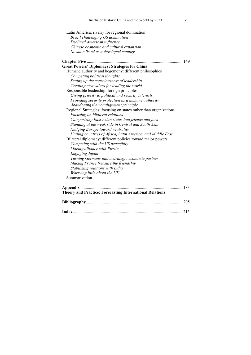| Latin America: rivalry for regional domination                    |  |
|-------------------------------------------------------------------|--|
| Brazil challenging US domination                                  |  |
| Declined American influence                                       |  |
| Chinese economic and cultural expansion                           |  |
| No state listed as a developed country                            |  |
|                                                                   |  |
|                                                                   |  |
| <b>Great Powers' Diplomacy: Strategies for China</b>              |  |
| Humane authority and hegemony: different philosophies             |  |
| Competing political thoughts                                      |  |
| Setting up the consciousness of leadership                        |  |
| Creating new values for leading the world                         |  |
| Responsible leadership: foreign principles                        |  |
| Giving priority to political and security interests               |  |
| Providing security protection as a humane authority               |  |
| Abandoning the nonalignment principle                             |  |
| Regional Strategies: focusing on states rather than organizations |  |
| Focusing on bilateral relations                                   |  |
| Categorizing East Asian states into friends and foes              |  |
| Standing at the weak side in Central and South Asia               |  |
| Nudging Europe toward neutrality                                  |  |
| Uniting countries of Africa, Latin America, and Middle East       |  |
| Bilateral diplomacy: different policies toward major powers       |  |
| Competing with the US peacefully                                  |  |
| Making alliance with Russia                                       |  |
| <b>Engaging Japan</b>                                             |  |
| Turning Germany into a strategic economic partner                 |  |
| Making France treasure the friendship                             |  |
| Stabilizing relations with India                                  |  |
| Worrying little about the UK                                      |  |
| Summarization                                                     |  |
|                                                                   |  |
|                                                                   |  |
| <b>Theory and Practice: Forecasting International Relations</b>   |  |
|                                                                   |  |
|                                                                   |  |
|                                                                   |  |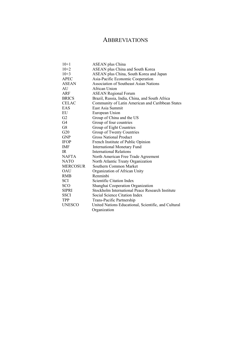## ABBREVIATIONS

| $10+1$          | ASEAN plus China                                     |
|-----------------|------------------------------------------------------|
| $10+2$          | ASEAN plus China and South Korea                     |
| $10+3$          | ASEAN plus China, South Korea and Japan              |
| <b>APEC</b>     | Asia-Pacific Economic Cooperation                    |
| <b>ASEAN</b>    | <b>Association of Southeast Asian Nations</b>        |
| AU              | African Union                                        |
| ARF             | <b>ASEAN Regional Forum</b>                          |
| <b>BRICS</b>    | Brazil, Russia, India, China, and South Africa       |
| <b>CELAC</b>    | Community of Latin American and Caribbean States     |
| EAS             | East Asia Summit                                     |
| EU              | European Union                                       |
| G2              | Group of China and the US                            |
| G4              | Group of four countries                              |
| G8              | Group of Eight Countries                             |
| G20             | Group of Twenty Countries                            |
| <b>GNP</b>      | <b>Gross National Product</b>                        |
| <b>IFOP</b>     | French Institute of Public Opinion                   |
| IMF             | <b>International Monetary Fund</b>                   |
| IR.             | <b>International Relations</b>                       |
| <b>NAFTA</b>    | North American Free Trade Agreement                  |
| <b>NATO</b>     | North Atlantic Treaty Organization                   |
| <b>MERCOSUR</b> | Southern Common Market                               |
| <b>OAU</b>      | Organization of African Unity                        |
| <b>RMB</b>      | Renminhi                                             |
| SCI             | Scientific Citation Index                            |
| <b>SCO</b>      | Shanghai Cooperation Organization                    |
| <b>SIPRI</b>    | Stockholm International Peace Research Institute     |
| <b>SSCI</b>     | Social Science Citation Index                        |
| <b>TPP</b>      | Trans-Pacific Partnership                            |
| <b>UNESCO</b>   | United Nations Educational, Scientific, and Cultural |
|                 | Organization                                         |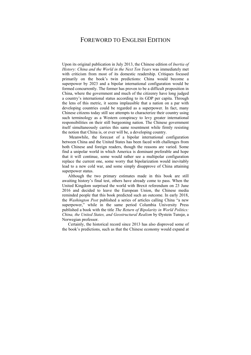## FOREWORD TO ENGLISH EDITION

Upon its original publication in July 2013, the Chinese edition of *Inertia of History: China and the World in the Next Ten Years* was immediately met with criticism from most of its domestic readership. Critiques focused primarily on the book's twin predictions: China would become a superpower by 2023 and a bipolar international configuration would be formed concurrently. The former has proven to be a difficult proposition in China, where the government and much of the citizenry have long judged a country's international status according to its GDP per capita. Through the lens of this metric, it seems implausible that a nation on a par with developing countries could be regarded as a superpower. In fact, many Chinese citizens today still see attempts to characterize their country using such terminology as a Western conspiracy to levy greater international responsibilities on their still burgeoning nation. The Chinese government itself simultaneously carries this same resentment while firmly resisting the notion that China is, or ever will be, a developing country.

 Meanwhile, the forecast of a bipolar international configuration between China and the United States has been faced with challenges from both Chinese and foreign readers, though the reasons are varied. Some find a unipolar world in which America is dominant preferable and hope that it will continue, some would rather see a multipolar configuration replace the current one, some worry that bipolarization would inevitably lead to a new cold war, and some simply disapprove of China attaining superpower status.

Although the two primary estimates made in this book are still awaiting history's final test, others have already come to pass. When the United Kingdom surprised the world with Brexit referendum on 23 June 2016 and decided to leave the European Union, the Chinese media reminded people that this book predicted such an outcome. In early 2018, the *Washington Post* published a series of articles calling China "a new superpower," while in the same period Columbia University Press published a book with the title *The Return of Bipolarity in World Politics: China, the United States, and Geostructural Realism* by Øystein Tunsjø, a Norwegian professor.

Certainly, the historical record since 2013 has also disproved some of the book's predictions, such as that the Chinese economy would expand at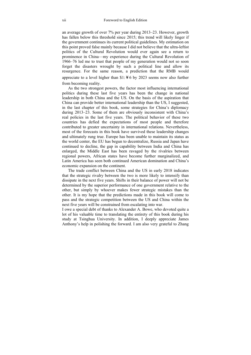an average growth of over 7% per year during 2013–23. However, growth has fallen below this threshold since 2015; this trend will likely linger if the government continues its current political guidelines. My estimation on this point proved false mainly because I did not believe that the ultra-leftist politics of the Cultural Revolution would ever again see a return to prominence in China—my experience during the Cultural Revolution of 1966–76 led me to trust that people of my generation would not so soon forget the disasters wrought by such a political line and allow its resurgence. For the same reason, a prediction that the RMB would appreciate to a level higher than  $$1:46$  by 2023 seems now also further from becoming reality.

As the two strongest powers, the factor most influencing international politics during these last five years has been the change in national leadership in both China and the US. On the basis of the aspiration that China can provide better international leadership than the US, I suggested, in the last chapter of this book, some strategies for China's diplomacy during 2013–23. Some of them are obviously inconsistent with China's real policies in the last five years. The political behavior of these two countries has defied the expectations of most people and therefore contributed to greater uncertainty in international relations. Nevertheless, most of the forecasts in this book have survived these leadership changes and ultimately rung true. Europe has been unable to maintain its status as the world center, the EU has begun to decentralize, Russia and Japan have continued to decline, the gap in capability between India and China has enlarged, the Middle East has been ravaged by the rivalries between regional powers, African states have become further marginalized, and Latin America has seen both continued American domination and China's economic expansion on the continent.

The trade conflict between China and the US in early 2018 indicates that the strategic rivalry between the two is more likely to intensify than dissipate in the next five years. Shifts in their balance of power will not be determined by the superior performance of one government relative to the other, but simply by whoever makes fewer strategic mistakes than the other. It is my hope that the predictions made in this book will come to pass and the strategic competition between the US and China within the next five years will be constrained from escalating into war.

I owe a special debt of thanks to Alexander A. Bowe, who devoted quite a lot of his valuable time to translating the entirety of this book during his study at Tsinghua University. In addition, I deeply appreciate James Anthony's help in polishing the forward. I am also very grateful to Zhang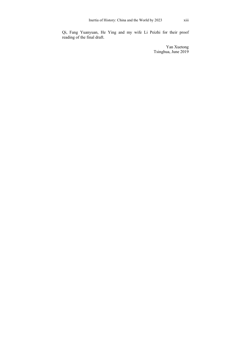Qi, Fang Yuanyuan, He Ying and my wife Li Peizhi for their proof reading of the final draft.

> Yan Xuetong Tsinghua, June 2019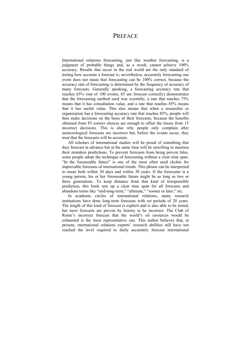## **PREFACE**

International relations forecasting, just like weather forecasting, is a judgment of probable things and, as a result, cannot achieve 100% accuracy. Results that occur in the real world are the only standard of testing how accurate a forecast is; nevertheless, accurately forecasting one event does not mean that forecasting can be 100% correct, because the accuracy rate of forecasting is determined by the frequency of accuracy of many forecasts. Generally speaking, a forecasting accuracy rate that reaches 65% (out of 100 events, 65 are forecast correctly) demonstrates that the forecasting method used was scientific, a rate that reaches 75% means that it has consultation value, and a rate that reaches 85% means that it has useful value. This also means that when a researcher or organization has a forecasting accuracy rate that reaches 85%, people will thus make decisions on the basis of their forecasts, because the benefits obtained from 85 correct choices are enough to offset the losses from 15 incorrect decisions. This is also why people only complain after meteorological forecasts are incorrect but, before the events occur, they trust that the forecasts will be accurate.

All scholars of international studies will be proud of something that they forecast in advance but at the same time will be unwilling to mention their mistaken predictions. To prevent forecasts from being proven false, some people adopt the technique of forecasting without a clear time span. "In the foreseeable future" is one of the most often used clichés for improvable forecasts of international trends. This phrase can be interpreted to mean both within 30 days and within 30 years. If the forecaster is a young person, his or her foreseeable future might be as long as two or three generations. To keep distance from that kind of irresponsible prediction, this book sets up a clear time span for all forecasts and abandons terms like "mid-long-term," "ultimate," "sooner or later," etc.

In academic circles of international relations, many research institutions have done long-term forecasts with set periods of 20 years. The length of this kind of forecast is explicit and is also able to be tested, but most forecasts are proven by history to be incorrect. The Club of Rome's incorrect forecast that the world's oil resources would be exhausted is the most representative one. This author believes that, at present, international relations experts' research abilities still have not reached the level required to fairly accurately forecast international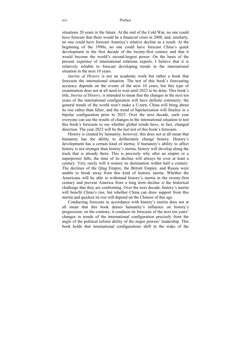situations 20 years in the future. At the end of the Cold War, no one could have forecast that there would be a financial crisis in 2008, and, similarly, no one could have forecast America's relative decline as a result. At the beginning of the 1990s, no one could have forecast China's quick development in the first decade of the twenty-first century and that it would become the world's second-largest power. On the basis of the present expertise of international relations experts, I believe that it is relatively reliable to forecast developing trends in the international situation in the next 10 years.

*Inertia of History* is not an academic work but rather a book that forecasts the international situation. The test of this book's forecasting accuracy depends on the events of the next 10 years, but this type of examination does not at all need to wait until 2023 to be done. This book's title, *Inertia of History*, is intended to mean that the changes in the next ten years of the international configuration will have definite continuity: the general trends of the world won't make a U-turn, China will bring about its rise rather than falter, and the trend of bipolarization will finalize in a bipolar configuration prior to 2023. Over the next decade, each year everyone can use the results of changes in the international situation to test this book's forecasts to see whether global trends have, in fact, changed direction. The year 2023 will be the last test of this book's forecasts.

History is created by humanity; however, this does not at all mean that humanity has the ability to deliberately change history. History's development has a certain kind of inertia; if humanity's ability to affect history is not stronger than history's inertia, history will develop along the track that is already there. This is precisely why after an empire or a superpower falls, the time of its decline will always be over at least a century. Very rarely will it restore its domination within half a century. The declines of the Qing Empire, the British Empire, and Russia were unable to break away from this kind of historic inertia. Whether the Americans will be able to withstand history's inertia in the twenty-first century and prevent America from a long term decline is the historical challenge that they are confronting. Over the next decade, history's inertia will benefit China's rise, but whether China can draw support from this inertia and quicken its rise will depend on the Chinese of this age.

Conducting forecasts in accordance with history's inertia does not at all mean that this book denies humanity's influence on history's progression; on the contrary, it conducts its forecasts of the next ten years' changes in trends of the international configuration precisely from the angle of the political reform ability of the major powers' leadership. This book holds that international configurations shift in the wake of the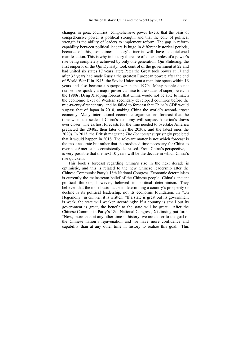changes in great countries' comprehensive power levels, that the basis of comprehensive power is political strength, and that the core of political strength is the ability of leaders to implement reform. The gap in reform capability between political leaders is huge in different historical periods; because of this, sometimes history's inertia will have a quickened manifestation. This is why in history there are often examples of a power's rise being completely achieved by only one generation. Qin Shihuang, the first emperor of the Qin Dynasty, took control of the government at 22 and had united six states 17 years later; Peter the Great took power at 17 and after 32 years had made Russia the greatest European power; after the end of World War II in 1945, the Soviet Union sent a man into space within 16 years and also became a superpower in the 1970s. Many people do not realize how quickly a major power can rise to the status of superpower. In the 1980s, Deng Xiaoping forecast that China would not be able to match the economic level of Western secondary developed countries before the mid-twenty-first century, and he failed to forecast that China's GDP would surpass that of Japan in 2010, making China the world's second-largest economy. Many international economic organizations forecast that the time when the scale of China's economy will surpass America's draws ever closer. The earliest forecasts for the time needed to overtake America predicted the 2040s, then later ones the 2030s, and the latest ones the 2020s. In 2013, the British magazine *The Economist* surprisingly predicted that it would happen in 2018. The relevant matter is not which forecast is the most accurate but rather that the predicted time necessary for China to overtake America has consistently decreased. From China's perspective, it is very possible that the next 10 years will be the decade in which China's rise quickens.

This book's forecast regarding China's rise in the next decade is optimistic, and this is related to the new Chinese leadership after the Chinese Communist Party's 18th National Congress. Economic determinism is currently the mainstream belief of the Chinese people; China's ancient political thinkers, however, believed in political determinism. They believed that the most basic factor in determining a country's prosperity or decline is its political leadership, not its economic foundation. In "On Hegemony" in *Guanzi*, it is written, "If a state is great but its government is weak, the state will weaken accordingly; if a country is small but its government is great, the benefit to the state will be great." After the Chinese Communist Party's 18th National Congress, Xi Jinxing put forth, "Now, more than at any other time in history, we are closer to the goal of the Chinese nation's rejuvenation and we have more confidence and capability than at any other time in history to realize this goal." This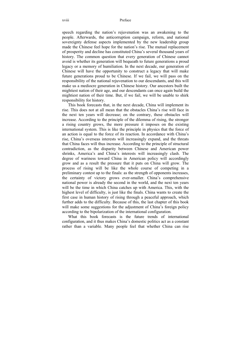speech regarding the nation's rejuvenation was an awakening to the people. Afterwards, the anticorruption campaign, reform, and national sovereignty defense aspects implemented by the new leadership group made the Chinese feel hope for the nation's rise. The mutual replacement of prosperity and decline has constituted China's several thousand years of history. The common question that every generation of Chinese cannot avoid is whether its generation will bequeath to future generations a proud legacy or a memory of humiliation. In the next decade, our generation of Chinese will have the opportunity to construct a legacy that will make future generations proud to be Chinese. If we fail, we will pass on the responsibility of the national rejuvenation to our descendants, and this will make us a mediocre generation in Chinese history. Our ancestors built the mightiest nation of their age, and our descendants can once again build the mightiest nation of their time. But, if we fail, we will be unable to shirk responsibility for history.

This book forecasts that, in the next decade, China will implement its rise. This does not at all mean that the obstacles China's rise will face in the next ten years will decrease; on the contrary, these obstacles will increase. According to the principle of the dilemma of rising, the stronger a rising country grows, the more pressure it imposes on the existing international system. This is like the principle in physics that the force of an action is equal to the force of its reaction. In accordance with China's rise, China's overseas interests will increasingly expand, and the threats that China faces will thus increase. According to the principle of structural contradiction, as the disparity between Chinese and American power shrinks, America's and China's interests will increasingly clash. The degree of wariness toward China in American policy will accordingly grow and as a result the pressure that it puts on China will grow. The process of rising will be like the whole course of competing in a preliminary contest up to the finals: as the strength of opponents increases, the certainty of victory grows ever-smaller. China's comprehensive national power is already the second in the world, and the next ten years will be the time in which China catches up with America. This, with the highest level of difficulty, is just like the finals. China wants to create the first case in human history of rising through a peaceful approach, which further adds to the difficulty. Because of this, the last chapter of this book will make some suggestions for the adjustment of China's foreign policy according to the bipolarization of the international configuration.

What this book forecasts is the future trends of international configuration, and it thus makes China's domestic politics act as a constant rather than a variable. Many people feel that whether China can rise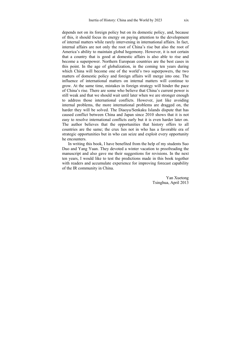depends not on its foreign policy but on its domestic policy, and, because of this, it should focus its energy on paying attention to the development of internal matters while rarely intervening in international affairs. In fact, internal affairs are not only the root of China's rise but also the root of America's ability to maintain global hegemony. However, it is not certain that a country that is good at domestic affairs is also able to rise and become a superpower. Northern European countries are the best cases in this point. In the age of globalization, in the coming ten years during which China will become one of the world's two superpowers, the two matters of domestic policy and foreign affairs will merge into one. The influence of international matters on internal matters will continue to grow. At the same time, mistakes in foreign strategy will hinder the pace of China's rise. There are some who believe that China's current power is still weak and that we should wait until later when we are stronger enough to address those international conflicts. However, just like avoiding internal problems, the more international problems are dragged on, the harder they will be solved. The Diaoyu/Senkaku Islands dispute that has caused conflict between China and Japan since 2010 shows that it is not easy to resolve international conflicts early but it is even harder later on. The author believes that the opportunities that history offers to all countries are the same; the crux lies not in who has a favorable era of strategic opportunities but in who can seize and exploit every opportunity he encounters.

In writing this book, I have benefited from the help of my students Suo Duo and Yang Yuan. They devoted a winter vacation to proofreading the manuscript and also gave me their suggestions for revisions. In the next ten years, I would like to test the predictions made in this book together with readers and accumulate experience for improving forecast capability of the IR community in China.

> Yan Xuetong Tsinghua, April 2013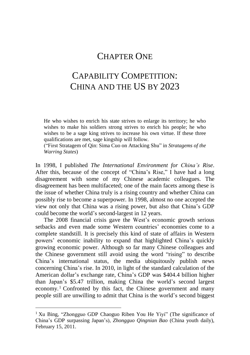## CHAPTER ONE

## CAPABILITY COMPETITION: CHINA AND THE US BY 2023

He who wishes to enrich his state strives to enlarge its territory; he who wishes to make his soldiers strong strives to enrich his people; he who wishes to be a sage king strives to increase his own virtue. If these three qualifications are met, sage kingship will follow.

("First Stratagem of Qin: Sima Cuo on Attacking Shu" in *Stratagems of the Warring States*)

In 1998, I published *The International Environment for China's Rise*. After this, because of the concept of "China's Rise," I have had a long disagreement with some of my Chinese academic colleagues. The disagreement has been multifaceted; one of the main facets among these is the issue of whether China truly is a rising country and whether China can possibly rise to become a superpower. In 1998, almost no one accepted the view not only that China was a rising power, but also that China's GDP could become the world's second-largest in 12 years.

The 2008 financial crisis gave the West's economic growth serious setbacks and even made some Western countries' economies come to a complete standstill. It is precisely this kind of state of affairs in Western powers' economic inability to expand that highlighted China's quickly growing economic power. Although so far many Chinese colleagues and the Chinese government still avoid using the word "rising" to describe China's international status, the media ubiquitously publish news concerning China's rise. In 2010, in light of the standard calculation of the American dollar's exchange rate, China's GDP was \$404.4 billion higher than Japan's \$5.47 trillion, making China the world's second largest economy.<sup>1</sup> Confronted by this fact, the Chinese government and many people still are unwilling to admit that China is the world's second biggest

1

<sup>&</sup>lt;sup>1</sup> Xu Bing, "Zhongguo GDP Chaoguo Riben You He Yiyi" (The significance of China's GDP surpassing Japan's), *Zhongguo Qingnian Bao* (China youth daily), February 15, 2011.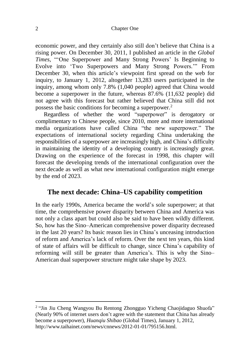#### 2 Chapter One

economic power, and they certainly also still don't believe that China is a rising power. On December 30, 2011, I published an article in the *Global Times*, "'One Superpower and Many Strong Powers' Is Beginning to Evolve into 'Two Superpowers and Many Strong Powers.'" From December 30, when this article's viewpoint first spread on the web for inquiry, to January 1, 2012, altogether 13,283 users participated in the inquiry, among whom only 7.8% (1,040 people) agreed that China would become a superpower in the future, whereas 87.6% (11,632 people) did not agree with this forecast but rather believed that China still did not possess the basic conditions for becoming a superpower. 2

Regardless of whether the word "superpower" is derogatory or complimentary to Chinese people, since 2010, more and more international media organizations have called China "the new superpower." The expectations of international society regarding China undertaking the responsibilities of a superpower are increasingly high, and China's difficulty in maintaining the identity of a developing country is increasingly great. Drawing on the experience of the forecast in 1998, this chapter will forecast the developing trends of the international configuration over the next decade as well as what new international configuration might emerge by the end of 2023.

## **The next decade: China–US capability competition**

In the early 1990s, America became the world's sole superpower; at that time, the comprehensive power disparity between China and America was not only a class apart but could also be said to have been wildly different. So, how has the Sino–American comprehensive power disparity decreased in the last 20 years? Its basic reason lies in China's unceasing introduction of reform and America's lack of reform. Over the next ten years, this kind of state of affairs will be difficult to change, since China's capability of reforming will still be greater than America's. This is why the Sino– American dual superpower structure might take shape by 2023.

<u>.</u>

<sup>&</sup>lt;sup>2</sup> "Jin Jiu Cheng Wangyou Bu Rentong Zhongguo Yicheng Chaojidaguo Shuofa" (Nearly 90% of internet users don't agree with the statement that China has already become a superpower), *Huanqiu Shibao* (Global Times), January 1, 2012, http://www.taihainet.com/news/cnnews/2012-01-01/795156.html.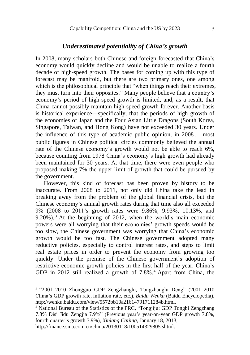## *Underestimated potentiality of China's growth*

In 2008, many scholars both Chinese and foreign forecasted that China's economy would quickly decline and would be unable to realize a fourth decade of high-speed growth. The bases for coming up with this type of forecast may be manifold, but there are two primary ones, one among which is the philosophical principle that "when things reach their extremes, they must turn into their opposites." Many people believe that a country's economy's period of high-speed growth is limited, and, as a result, that China cannot possibly maintain high-speed growth forever. Another basis is historical experience—specifically, that the periods of high growth of the economies of Japan and the Four Asian Little Dragons (South Korea, Singapore, Taiwan, and Hong Kong) have not exceeded 30 years. Under the influence of this type of academic public opinion, in 2008, most public figures in Chinese political circles commonly believed the annual rate of the Chinese economy's growth would not be able to reach 6%, because counting from 1978 China's economy's high growth had already been maintained for 30 years. At that time, there were even people who proposed making 7% the upper limit of growth that could be pursued by the government.

However, this kind of forecast has been proven by history to be inaccurate. From 2008 to 2011, not only did China take the lead in breaking away from the problem of the global financial crisis, but the Chinese economy's annual growth rates during that time also all exceeded 9% (2008 to 2011's growth rates were 9.86%, 9.93%, 10.13%, and 9.20%). <sup>3</sup> At the beginning of 2012, when the world's main economic powers were all worrying that their economies' growth speeds would be too slow, the Chinese government was worrying that China's economic growth would be too fast. The Chinese government adopted many reductive policies, especially to control interest rates, and steps to limit real estate prices in order to prevent the economy from growing too quickly. Under the premise of the Chinese government's adoption of restrictive economic growth policies in the first half of the year, China's GDP in 2012 still realized a growth of 7.8%. <sup>4</sup> Apart from China, the

http://finance.sina.com.cn/china/20130118/100514329805.shtml.

<u>.</u>

<sup>3</sup> "2001–2010 Zhongguo GDP Zengzhanglu, Tongzhanglu Deng" (2001–2010 China's GDP growth rate, inflation rate, etc.), *Baidu Wenku* (Baidu Encyclopedia), http://wenku.baidu.com/view/5572bb10a21614791711284b.html.

<sup>4</sup> National Bureau of the Statistics of the PRC, "Tongjiju: GDP Tongbi Zengzhang 7.8% Disi Jidu Zengjia 7.9%" (Previous year's year-on-year GDP growth 7.8%, fourth quarter's growth 7.9%), *Xinlang Caijing*, January 18, 2013,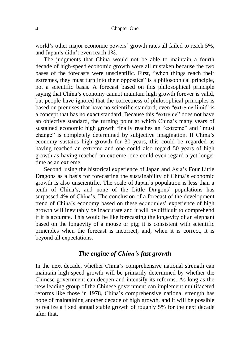world's other major economic powers' growth rates all failed to reach 5%, and Japan's didn't even reach 1%.

The judgments that China would not be able to maintain a fourth decade of high-speed economic growth were all mistaken because the two bases of the forecasts were unscientific. First, "when things reach their extremes, they must turn into their opposites" is a philosophical principle, not a scientific basis. A forecast based on this philosophical principle saying that China's economy cannot maintain high growth forever is valid, but people have ignored that the correctness of philosophical principles is based on premises that have no scientific standard; even "extreme limit" is a concept that has no exact standard. Because this "extreme" does not have an objective standard, the turning point at which China's many years of sustained economic high growth finally reaches an "extreme" and "must change" is completely determined by subjective imagination. If China's economy sustains high growth for 30 years, this could be regarded as having reached an extreme and one could also regard 50 years of high growth as having reached an extreme; one could even regard a yet longer time as an extreme.

Second, using the historical experience of Japan and Asia's Four Little Dragons as a basis for forecasting the sustainability of China's economic growth is also unscientific. The scale of Japan's population is less than a tenth of China's, and none of the Little Dragons' populations has surpassed 4% of China's. The conclusion of a forecast of the development trend of China's economy based on these economies' experience of high growth will inevitably be inaccurate and it will be difficult to comprehend if it is accurate. This would be like forecasting the longevity of an elephant based on the longevity of a mouse or pig; it is consistent with scientific principles when the forecast is incorrect, and, when it is correct, it is beyond all expectations.

#### *The engine of China's fast growth*

In the next decade, whether China's comprehensive national strength can maintain high-speed growth will be primarily determined by whether the Chinese government can deepen and intensify its reforms. As long as the new leading group of the Chinese government can implement multifaceted reforms like those in 1978, China's comprehensive national strength has hope of maintaining another decade of high growth, and it will be possible to realize a fixed annual stable growth of roughly 5% for the next decade after that.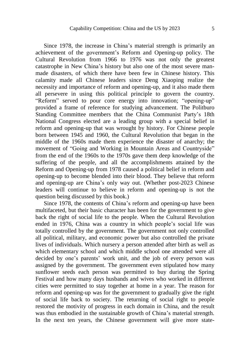Since 1978, the increase in China's material strength is primarily an achievement of the government's Reform and Opening-up policy. The Cultural Revolution from 1966 to 1976 was not only the greatest catastrophe in New China's history but also one of the most severe manmade disasters, of which there have been few in Chinese history. This calamity made all Chinese leaders since Deng Xiaoping realize the necessity and importance of reform and opening-up, and it also made them all persevere in using this political principle to govern the country. "Reform" served to pour core energy into innovation; "opening-up" provided a frame of reference for studying advancement. The Politburo Standing Committee members that the China Communist Party's 18th National Congress elected are a leading group with a special belief in reform and opening-up that was wrought by history. For Chinese people born between 1945 and 1960, the Cultural Revolution that began in the middle of the 1960s made them experience the disaster of anarchy; the movement of "Going and Working in Mountain Areas and Countryside" from the end of the 1960s to the 1970s gave them deep knowledge of the suffering of the people, and all the accomplishments attained by the Reform and Opening-up from 1978 caused a political belief in reform and opening-up to become blended into their blood. They believe that reform and opening-up are China's only way out. (Whether post-2023 Chinese leaders will continue to believe in reform and opening-up is not the question being discussed by this book.)

Since 1978, the contents of China's reform and opening-up have been multifaceted, but their basic character has been for the government to give back the right of social life to the people. When the Cultural Revolution ended in 1976, China was a country in which people's social life was totally controlled by the government. The government not only controlled all political, military, and economic power but also controlled the private lives of individuals. Which nursery a person attended after birth as well as which elementary school and which middle school one attended were all decided by one's parents' work unit, and the job of every person was assigned by the government. The government even stipulated how many sunflower seeds each person was permitted to buy during the Spring Festival and how many days husbands and wives who worked in different cities were permitted to stay together at home in a year. The reason for reform and opening-up was for the government to gradually give the right of social life back to society. The returning of social right to people restored the motivity of progress in each domain in China, and the result was thus embodied in the sustainable growth of China's material strength. In the next ten years, the Chinese government will give more state-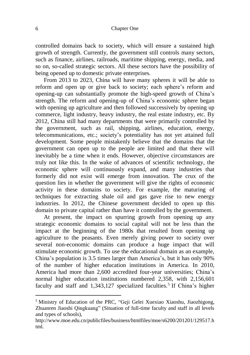controlled domains back to society, which will ensure a sustained high growth of strength. Currently, the government still controls many sectors, such as finance, airlines, railroads, maritime shipping, energy, media, and so on, so-called strategic sectors. All these sectors have the possibility of being opened up to domestic private enterprises.

From 2013 to 2023, China will have many spheres it will be able to reform and open up or give back to society; each sphere's reform and opening-up can substantially promote the high-speed growth of China's strength. The reform and opening-up of China's economic sphere began with opening up agriculture and then followed successively by opening up commerce, light industry, heavy industry, the real estate industry, etc. By 2012, China still had many departments that were primarily controlled by the government, such as rail, shipping, airlines, education, energy, telecommunications, etc.; society's potentiality has not yet attained full development. Some people mistakenly believe that the domains that the government can open up to the people are limited and that there will inevitably be a time when it ends. However, objective circumstances are truly not like this. In the wake of advances of scientific technology, the economic sphere will continuously expand, and many industries that formerly did not exist will emerge from innovation. The crux of the question lies in whether the government will give the rights of economic activity in these domains to society. For example, the maturing of techniques for extracting shale oil and gas gave rise to new energy industries. In 2012, the Chinese government decided to open up this domain to private capital rather than have it controlled by the government.

At present, the impact on spurring growth from opening up any strategic economic domains to social capital will not be less than the impact at the beginning of the 1980s that resulted from opening up agriculture to the peasants. Even merely giving power to society over several non-economic domains can produce a huge impact that will stimulate economic growth. To use the educational domain as an example, China's population is 3.5 times larger than America's, but it has only 90% of the number of higher education institutions in America. In 2010, America had more than 2,600 accredited four-year universities; China's normal higher education institutions numbered 2,358, with 2,156,601 faculty and staff and 1,343,127 specialized faculties. 5 If China's higher

<u>.</u>

<sup>5</sup> Ministry of Education of the PRC, "Geji Gelei Xuexiao Xiaoshu, Jiaozhigong, Zhuanren Jiaoshi Qingkuang" (Situation of full-time faculty and staff in all levels and types of schools),

http://www.moe.edu.cn/publicfiles/business/htmlfiles/moe/s6200/201201/129517.h tml.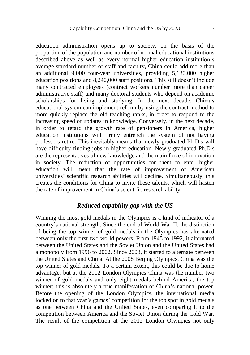education administration opens up to society, on the basis of the proportion of the population and number of normal educational institutions described above as well as every normal higher education institution's average standard number of staff and faculty, China could add more than an additional 9,000 four-year universities, providing 5,130,000 higher education positions and 8,240,000 staff positions. This still doesn't include many contracted employees (contract workers number more than career administrative staff) and many doctoral students who depend on academic scholarships for living and studying. In the next decade, China's educational system can implement reform by using the contract method to more quickly replace the old teaching ranks, in order to respond to the increasing speed of updates in knowledge. Conversely, in the next decade, in order to retard the growth rate of pensioners in America, higher education institutions will firmly entrench the system of not having professors retire. This inevitably means that newly graduated Ph.D.s will have difficulty finding jobs in higher education. Newly graduated Ph.D.s are the representatives of new knowledge and the main force of innovation in society. The reduction of opportunities for them to enter higher education will mean that the rate of improvement of American universities' scientific research abilities will decline. Simultaneously, this creates the conditions for China to invite these talents, which will hasten the rate of improvement in China's scientific research ability.

### *Reduced capability gap with the US*

Winning the most gold medals in the Olympics is a kind of indicator of a country's national strength. Since the end of World War II, the distinction of being the top winner of gold medals in the Olympics has alternated between only the first two world powers. From 1945 to 1992, it alternated between the United States and the Soviet Union and the United States had a monopoly from 1996 to 2002. Since 2008, it started to alternate between the United States and China. At the 2008 Beijing Olympics, China was the top winner of gold medals. To a certain extent, this could be due to home advantage, but at the 2012 London Olympics China was the number two winner of gold medals and only eight medals behind America, the top winner; this is absolutely a true manifestation of China's national power. Before the opening of the London Olympics, the international media locked on to that year's games' competition for the top spot in gold medals as one between China and the United States, even comparing it to the competition between America and the Soviet Union during the Cold War. The result of the competition at the 2012 London Olympics not only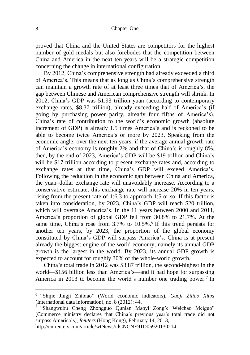proved that China and the United States are competitors for the highest number of gold medals but also forebodes that the competition between China and America in the next ten years will be a strategic competition concerning the change in international configuration.

By 2012, China's comprehensive strength had already exceeded a third of America's. This means that as long as China's comprehensive strength can maintain a growth rate of at least three times that of America's, the gap between Chinese and American comprehensive strength will shrink. In 2012, China's GDP was 51.93 trillion yuan (according to contemporary exchange rates, \$8.37 trillion), already exceeding half of America's (if going by purchasing power parity, already four fifths of America's). China's rate of contribution to the world's economic growth (absolute increment of GDP) is already 1.5 times America's and is reckoned to be able to become twice America's or more by 2023. Speaking from the economic angle, over the next ten years, if the average annual growth rate of America's economy is roughly 2% and that of China's is roughly 8%, then, by the end of 2023, America's GDP will be \$19 trillion and China's will be \$17 trillion according to present exchange rates and, according to exchange rates at that time, China's GDP will exceed America's. Following the reduction in the economic gap between China and America, the yuan–dollar exchange rate will unavoidably increase. According to a conservative estimate, this exchange rate will increase 20% in ten years, rising from the present rate of 1:6.3 to approach 1:5 or so. If this factor is taken into consideration, by 2023, China's GDP will reach \$20 trillion, which will overtake America's. In the 11 years between 2000 and 2011, America's proportion of global GDP fell from 30.8% to 21.7%. At the same time, China's rose from 3.7% to 10.5%.<sup>6</sup> If this trend persists for another ten years, by 2023, the proportion of the global economy constituted by China's GDP will surpass America's. China is at present already the biggest engine of the world economy, namely its annual GDP growth is the largest in the world. By 2023, its annual GDP growth is expected to account for roughly 30% of the whole-world growth.

China's total trade in 2012 was \$3.87 trillion, the second-highest in the world—\$156 billion less than America's—and it had hope for surpassing America in 2013 to become the world's number one trading power.<sup>7</sup> In

http://cn.reuters.com/article/wtNews/idCNCNE91D05920130214.

1

<sup>6</sup> "Shijie Jingji Zhibiao" (World economic indicators), *Guoji Ziliao Xinxi* (International data information), no. 8 (2012): 44.

<sup>7</sup> "Shangwubu Cheng Zhongguo Qunian Maoyi Zong'e Weichao Meiguo" (Commerce ministry declares that China's previous year's total trade did not surpass America's), *Reuters* (Hong Kong), February 14, 2013,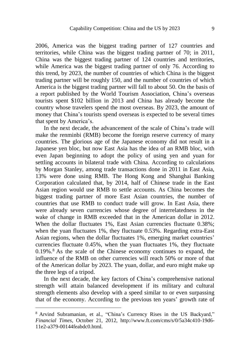2006, America was the biggest trading partner of 127 countries and territories, while China was the biggest trading partner of 70; in 2011, China was the biggest trading partner of 124 countries and territories, while America was the biggest trading partner of only 76. According to this trend, by 2023, the number of countries of which China is the biggest trading partner will be roughly 150, and the number of countries of which America is the biggest trading partner will fall to about 50. On the basis of a report published by the World Tourism Association, China's overseas tourists spent \$102 billion in 2013 and China has already become the country whose travelers spend the most overseas. By 2023, the amount of money that China's tourists spend overseas is expected to be several times that spent by America's.

In the next decade, the advancement of the scale of China's trade will make the renminbi (RMB) become the foreign reserve currency of many countries. The glorious age of the Japanese economy did not result in a Japanese yen bloc, but now East Asia has the idea of an RMB bloc, with even Japan beginning to adopt the policy of using yen and yuan for settling accounts in bilateral trade with China. According to calculations by Morgan Stanley, among trade transactions done in 2011 in East Asia, 13% were done using RMB. The Hong Kong and Shanghai Banking Corporation calculated that, by 2014, half of Chinese trade in the East Asian region would use RMB to settle accounts. As China becomes the biggest trading partner of more East Asian countries, the number of countries that use RMB to conduct trade will grow. In East Asia, there were already seven currencies whose degree of interrelatedness in the wake of change in RMB exceeded that in the American dollar in 2012. When the dollar fluctuates 1%, East Asian currencies fluctuate 0.38%; when the yuan fluctuates 1%, they fluctuate 0.53%. Regarding extra-East Asian regions, when the dollar fluctuates 1%, emerging market countries' currencies fluctuate 0.45%, when the yuan fluctuates 1%, they fluctuate 0.19%.<sup>8</sup> As the scale of the Chinese economy continues to expand, the influence of the RMB on other currencies will reach 50% or more of that of the American dollar by 2023. The yuan, dollar, and euro might make up the three legs of a tripod.

In the next decade, the key factors of China's comprehensive national strength will attain balanced development if its military and cultural strength elements also develop with a speed similar to or even surpassing that of the economy. According to the previous ten years' growth rate of

1

<sup>8</sup> Arvind Subramanian, et al., "China's Currency Rises in the US Backyard," *Financial Times*, October 21, 2012, http://www.ft.com/cms/s/0/5a34c410-19d6- 11e2-a379-00144feabdc0.html.